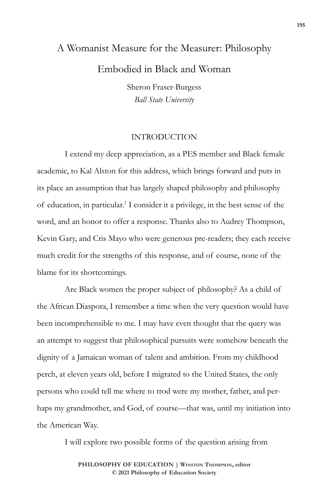# A Womanist Measure for the Measurer: Philosophy Embodied in Black and Woman

Sheron Fraser-Burgess *Ball State University*

### INTRODUCTION

I extend my deep appreciation, as a PES member and Black female academic, to Kal Alston for this address, which brings forward and puts in its place an assumption that has largely shaped philosophy and philosophy of education, in particular.<sup>1</sup> I consider it a privilege, in the best sense of the word, and an honor to offer a response. Thanks also to Audrey Thompson, Kevin Gary, and Cris Mayo who were generous pre-readers; they each receive much credit for the strengths of this response, and of course, none of the blame for its shortcomings.

Are Black women the proper subject of philosophy? As a child of the African Diaspora, I remember a time when the very question would have been incomprehensible to me. I may have even thought that the query was an attempt to suggest that philosophical pursuits were somehow beneath the dignity of a Jamaican woman of talent and ambition. From my childhood perch, at eleven years old, before I migrated to the United States, the only persons who could tell me where to trod were my mother, father, and perhaps my grandmother, and God, of course—that was, until my initiation into the American Way.

I will explore two possible forms of the question arising from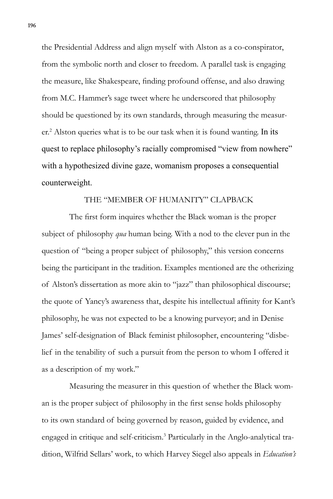the Presidential Address and align myself with Alston as a co-conspirator, from the symbolic north and closer to freedom. A parallel task is engaging the measure, like Shakespeare, finding profound offense, and also drawing from M.C. Hammer's sage tweet where he underscored that philosophy should be questioned by its own standards, through measuring the measurer.<sup>2</sup> Alston queries what is to be our task when it is found wanting. In its quest to replace philosophy's racially compromised "view from nowhere" with a hypothesized divine gaze, womanism proposes a consequential counterweight.

### THE "MEMBER OF HUMANITY" CLAPBACK

The first form inquires whether the Black woman is the proper subject of philosophy *qua* human being. With a nod to the clever pun in the question of "being a proper subject of philosophy," this version concerns being the participant in the tradition. Examples mentioned are the otherizing of Alston's dissertation as more akin to "jazz" than philosophical discourse; the quote of Yancy's awareness that, despite his intellectual affinity for Kant's philosophy, he was not expected to be a knowing purveyor; and in Denise James' self-designation of Black feminist philosopher, encountering "disbelief in the tenability of such a pursuit from the person to whom I offered it as a description of my work."

Measuring the measurer in this question of whether the Black woman is the proper subject of philosophy in the first sense holds philosophy to its own standard of being governed by reason, guided by evidence, and engaged in critique and self-criticism.<sup>3</sup> Particularly in the Anglo-analytical tradition, Wilfrid Sellars' work, to which Harvey Siegel also appeals in *Education's*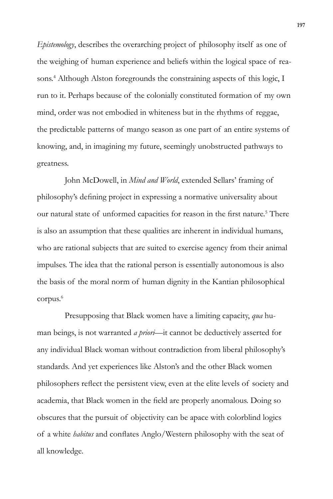*Epistemology*, describes the overarching project of philosophy itself as one of the weighing of human experience and beliefs within the logical space of reasons.<sup>4</sup> Although Alston foregrounds the constraining aspects of this logic, I run to it. Perhaps because of the colonially constituted formation of my own mind, order was not embodied in whiteness but in the rhythms of reggae, the predictable patterns of mango season as one part of an entire systems of knowing, and, in imagining my future, seemingly unobstructed pathways to greatness.

John McDowell, in *Mind and World*, extended Sellars' framing of philosophy's defining project in expressing a normative universality about our natural state of unformed capacities for reason in the first nature.<sup>5</sup> There is also an assumption that these qualities are inherent in individual humans, who are rational subjects that are suited to exercise agency from their animal impulses. The idea that the rational person is essentially autonomous is also the basis of the moral norm of human dignity in the Kantian philosophical corpus.<sup>6</sup>

Presupposing that Black women have a limiting capacity, *qua* human beings, is not warranted *a priori*—it cannot be deductively asserted for any individual Black woman without contradiction from liberal philosophy's standards. And yet experiences like Alston's and the other Black women philosophers reflect the persistent view, even at the elite levels of society and academia, that Black women in the field are properly anomalous. Doing so obscures that the pursuit of objectivity can be apace with colorblind logics of a white *habitus* and conflates Anglo/Western philosophy with the seat of all knowledge.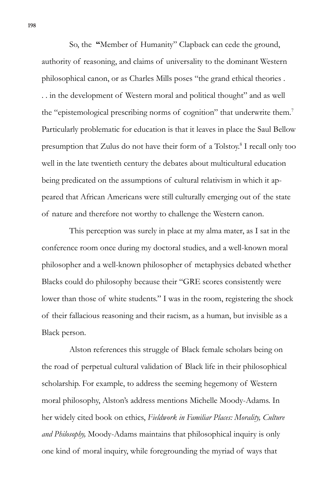So, the **"**Member of Humanity" Clapback can cede the ground, authority of reasoning, and claims of universality to the dominant Western philosophical canon, or as Charles Mills poses "the grand ethical theories . . . in the development of Western moral and political thought" and as well the "epistemological prescribing norms of cognition" that underwrite them.<sup>7</sup> Particularly problematic for education is that it leaves in place the Saul Bellow presumption that Zulus do not have their form of a Tolstoy.<sup>8</sup> I recall only too well in the late twentieth century the debates about multicultural education being predicated on the assumptions of cultural relativism in which it appeared that African Americans were still culturally emerging out of the state of nature and therefore not worthy to challenge the Western canon.

This perception was surely in place at my alma mater, as I sat in the conference room once during my doctoral studies, and a well-known moral philosopher and a well-known philosopher of metaphysics debated whether Blacks could do philosophy because their "GRE scores consistently were lower than those of white students." I was in the room, registering the shock of their fallacious reasoning and their racism, as a human, but invisible as a Black person.

Alston references this struggle of Black female scholars being on the road of perpetual cultural validation of Black life in their philosophical scholarship. For example, to address the seeming hegemony of Western moral philosophy, Alston's address mentions Michelle Moody-Adams. In her widely cited book on ethics, *Fieldwork in Familiar Places: Morality, Culture and Philosophy,* Moody-Adams maintains that philosophical inquiry is only one kind of moral inquiry, while foregrounding the myriad of ways that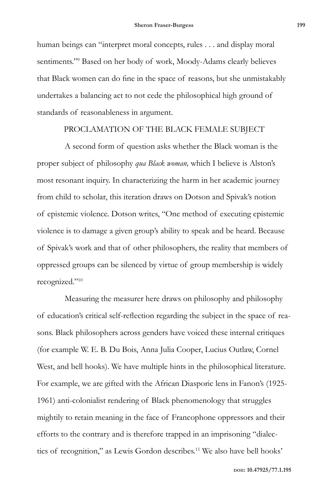human beings can "interpret moral concepts, rules . . . and display moral sentiments."9 Based on her body of work, Moody-Adams clearly believes that Black women can do fine in the space of reasons, but she unmistakably undertakes a balancing act to not cede the philosophical high ground of standards of reasonableness in argument.

#### PROCLAMATION OF THE BLACK FEMALE SUBJECT

A second form of question asks whether the Black woman is the proper subject of philosophy *qua Black woman,* which I believe is Alston's most resonant inquiry. In characterizing the harm in her academic journey from child to scholar, this iteration draws on Dotson and Spivak's notion of epistemic violence. Dotson writes, "One method of executing epistemic violence is to damage a given group's ability to speak and be heard. Because of Spivak's work and that of other philosophers, the reality that members of oppressed groups can be silenced by virtue of group membership is widely recognized."10

Measuring the measurer here draws on philosophy and philosophy of education's critical self-reflection regarding the subject in the space of reasons. Black philosophers across genders have voiced these internal critiques (for example W. E. B. Du Bois, Anna Julia Cooper, Lucius Outlaw, Cornel West, and bell hooks). We have multiple hints in the philosophical literature. For example, we are gifted with the African Diasporic lens in Fanon's (1925- 1961) anti-colonialist rendering of Black phenomenology that struggles mightily to retain meaning in the face of Francophone oppressors and their efforts to the contrary and is therefore trapped in an imprisoning "dialectics of recognition," as Lewis Gordon describes.<sup>11</sup> We also have bell hooks'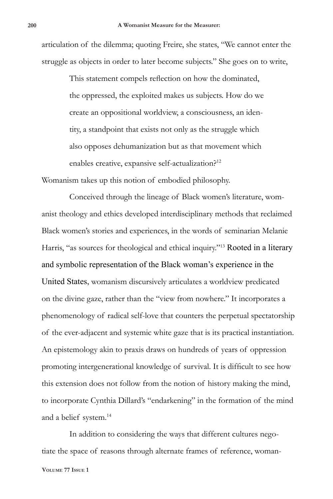articulation of the dilemma; quoting Freire, she states, "We cannot enter the struggle as objects in order to later become subjects." She goes on to write,

> This statement compels reflection on how the dominated, the oppressed, the exploited makes us subjects. How do we create an oppositional worldview, a consciousness, an identity, a standpoint that exists not only as the struggle which also opposes dehumanization but as that movement which enables creative, expansive self-actualization?<sup>12</sup>

Womanism takes up this notion of embodied philosophy.

Conceived through the lineage of Black women's literature, womanist theology and ethics developed interdisciplinary methods that reclaimed Black women's stories and experiences, in the words of seminarian Melanie Harris, "as sources for theological and ethical inquiry."<sup>13</sup> Rooted in a literary and symbolic representation of the Black woman's experience in the United States, womanism discursively articulates a worldview predicated on the divine gaze, rather than the "view from nowhere." It incorporates a phenomenology of radical self-love that counters the perpetual spectatorship of the ever-adjacent and systemic white gaze that is its practical instantiation. An epistemology akin to praxis draws on hundreds of years of oppression promoting intergenerational knowledge of survival. It is difficult to see how this extension does not follow from the notion of history making the mind, to incorporate Cynthia Dillard's "endarkening" in the formation of the mind and a belief system.<sup>14</sup>

In addition to considering the ways that different cultures negotiate the space of reasons through alternate frames of reference, woman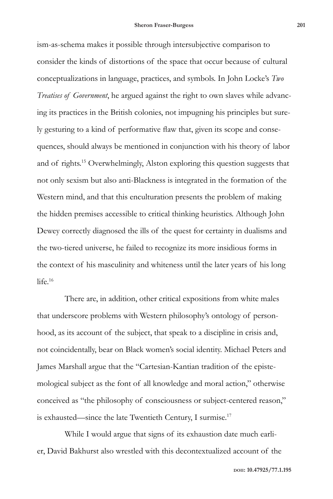ism-as-schema makes it possible through intersubjective comparison to consider the kinds of distortions of the space that occur because of cultural conceptualizations in language, practices, and symbols. In John Locke's *Two Treatises of Government*, he argued against the right to own slaves while advancing its practices in the British colonies, not impugning his principles but surely gesturing to a kind of performative flaw that, given its scope and consequences, should always be mentioned in conjunction with his theory of labor and of rights.15 Overwhelmingly, Alston exploring this question suggests that not only sexism but also anti-Blackness is integrated in the formation of the Western mind, and that this enculturation presents the problem of making the hidden premises accessible to critical thinking heuristics. Although John Dewey correctly diagnosed the ills of the quest for certainty in dualisms and the two-tiered universe, he failed to recognize its more insidious forms in the context of his masculinity and whiteness until the later years of his long life  $16$ 

There are, in addition, other critical expositions from white males that underscore problems with Western philosophy's ontology of personhood, as its account of the subject, that speak to a discipline in crisis and, not coincidentally, bear on Black women's social identity. Michael Peters and James Marshall argue that the "Cartesian-Kantian tradition of the epistemological subject as the font of all knowledge and moral action," otherwise conceived as "the philosophy of consciousness or subject-centered reason," is exhausted—since the late Twentieth Century, I surmise.17

While I would argue that signs of its exhaustion date much earlier, David Bakhurst also wrestled with this decontextualized account of the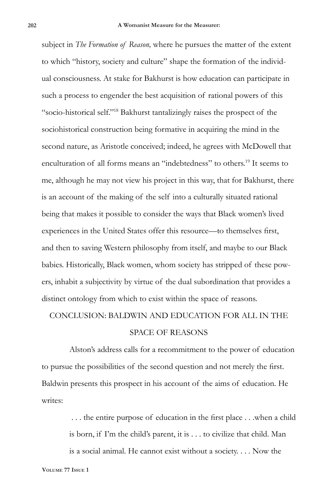subject in *The Formation of Reason,* where he pursues the matter of the extent to which "history, society and culture" shape the formation of the individual consciousness. At stake for Bakhurst is how education can participate in such a process to engender the best acquisition of rational powers of this "socio-historical self."18 Bakhurst tantalizingly raises the prospect of the sociohistorical construction being formative in acquiring the mind in the second nature, as Aristotle conceived; indeed, he agrees with McDowell that enculturation of all forms means an "indebtedness" to others.19 It seems to me, although he may not view his project in this way, that for Bakhurst, there is an account of the making of the self into a culturally situated rational being that makes it possible to consider the ways that Black women's lived experiences in the United States offer this resource—to themselves first, and then to saving Western philosophy from itself, and maybe to our Black babies. Historically, Black women, whom society has stripped of these powers, inhabit a subjectivity by virtue of the dual subordination that provides a distinct ontology from which to exist within the space of reasons.

## CONCLUSION: BALDWIN AND EDUCATION FOR ALL IN THE SPACE OF REASONS

Alston's address calls for a recommitment to the power of education to pursue the possibilities of the second question and not merely the first. Baldwin presents this prospect in his account of the aims of education. He writes:

> . . . the entire purpose of education in the first place . . .when a child is born, if I'm the child's parent, it is . . . to civilize that child. Man is a social animal. He cannot exist without a society. . . . Now the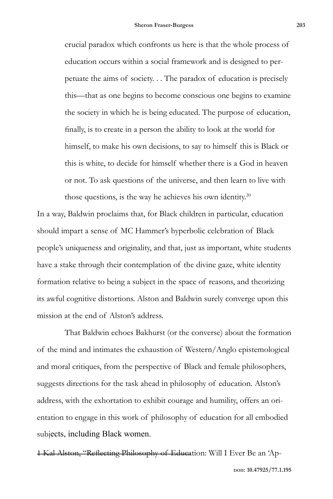crucial paradox which confronts us here is that the whole process of education occurs within a social framework and is designed to perpetuate the aims of society. . . The paradox of education is precisely this—that as one begins to become conscious one begins to examine the society in which he is being educated. The purpose of education, finally, is to create in a person the ability to look at the world for himself, to make his own decisions, to say to himself this is Black or this is white, to decide for himself whether there is a God in heaven or not. To ask questions of the universe, and then learn to live with those questions, is the way he achieves his own identity.<sup>20</sup>

In a way, Baldwin proclaims that, for Black children in particular, education should impart a sense of MC Hammer's hyperbolic celebration of Black people's uniqueness and originality, and that, just as important, white students have a stake through their contemplation of the divine gaze, white identity formation relative to being a subject in the space of reasons, and theorizing its awful cognitive distortions. Alston and Baldwin surely converge upon this mission at the end of Alston's address.

That Baldwin echoes Bakhurst (or the converse) about the formation of the mind and intimates the exhaustion of Western/Anglo epistemological and moral critiques, from the perspective of Black and female philosophers, suggests directions for the task ahead in philosophy of education. Alston's address, with the exhortation to exhibit courage and humility, offers an orientation to engage in this work of philosophy of education for all embodied subjects, including Black women.

1 Kal Alston, "Reflecting Philosophy of Education: Will I Ever Be an 'Ap-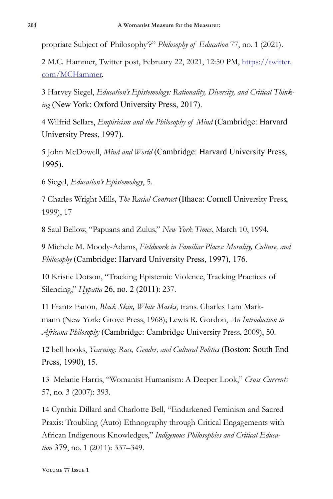propriate Subject of Philosophy'?" *Philosophy of Education* 77, no. 1 (2021).

2 M.C. Hammer, Twitter post, February 22, 2021, 12:50 PM, https://twitter. com/MCHammer.

3 Harvey Siegel, *Education's Epistemology: Rationality, Diversity, and Critical Thinking* (New York: Oxford University Press, 2017).

4 Wilfrid Sellars, *Empiricism and the Philosophy of Mind* (Cambridge: Harvard University Press, 1997).

5 John McDowell, *Mind and World* (Cambridge: Harvard University Press, 1995).

6 Siegel, *Education's Epistemology*, 5.

7 Charles Wright Mills, *The Racial Contract* (Ithaca: Cornell University Press, 1999), 17

8 Saul Bellow, "Papuans and Zulus," *New York Times*, March 10, 1994.

9 Michele M. Moody-Adams, *Fieldwork in Familiar Places: Morality, Culture, and Philosophy* (Cambridge: Harvard University Press, 1997), 176.

10 Kristie Dotson, "Tracking Epistemic Violence, Tracking Practices of Silencing," *Hypatia* 26, no. 2 (2011): 237.

11 Frantz Fanon, *Black Skin, White Masks*, trans. Charles Lam Markmann (New York: Grove Press, 1968); Lewis R. Gordon, *An Introduction to Africana Philosophy* (Cambridge: Cambridge University Press, 2009), 50.

12 bell hooks, *Yearning: Race, Gender, and Cultural Politics* (Boston: South End Press, 1990), 15.

13 Melanie Harris, "Womanist Humanism: A Deeper Look," *Cross Currents* 57, no. 3 (2007): 393.

14 Cynthia Dillard and Charlotte Bell, "Endarkened Feminism and Sacred Praxis: Troubling (Auto) Ethnography through Critical Engagements with African Indigenous Knowledges," *Indigenous Philosophies and Critical Education* 379, no. 1 (2011): 337–349.